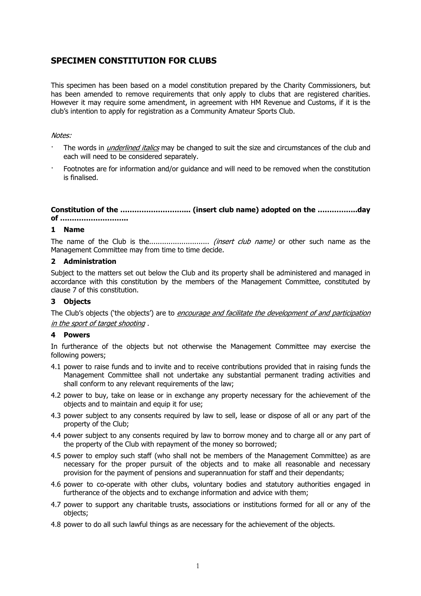# **SPECIMEN CONSTITUTION FOR CLUBS**

This specimen has been based on a model constitution prepared by the Charity Commissioners, but has been amended to remove requirements that only apply to clubs that are registered charities. However it may require some amendment, in agreement with HM Revenue and Customs, if it is the club's intention to apply for registration as a Community Amateur Sports Club.

### Notes:

- The words in *underlined italics* may be changed to suit the size and circumstances of the club and each will need to be considered separately.
- · Footnotes are for information and/or guidance and will need to be removed when the constitution is finalised.

**Constitution of the ………………………... (insert club name) adopted on the ……………..day of ………………………..** 

### **1 Name**

The name of the Club is the............................ (insert club name) or other such name as the Management Committee may from time to time decide.

#### **2 Administration**

Subject to the matters set out below the Club and its property shall be administered and managed in accordance with this constitution by the members of the Management Committee, constituted by clause 7 of this constitution.

### **3 Objects**

The Club's objects ('the objects') are to *encourage and facilitate the development of and participation* in the sport of target shooting .

### **4 Powers**

In furtherance of the objects but not otherwise the Management Committee may exercise the following powers;

- 4.1 power to raise funds and to invite and to receive contributions provided that in raising funds the Management Committee shall not undertake any substantial permanent trading activities and shall conform to any relevant requirements of the law;
- 4.2 power to buy, take on lease or in exchange any property necessary for the achievement of the objects and to maintain and equip it for use;
- 4.3 power subject to any consents required by law to sell, lease or dispose of all or any part of the property of the Club;
- 4.4 power subject to any consents required by law to borrow money and to charge all or any part of the property of the Club with repayment of the money so borrowed;
- 4.5 power to employ such staff (who shall not be members of the Management Committee) as are necessary for the proper pursuit of the objects and to make all reasonable and necessary provision for the payment of pensions and superannuation for staff and their dependants;
- 4.6 power to co-operate with other clubs, voluntary bodies and statutory authorities engaged in furtherance of the objects and to exchange information and advice with them;
- 4.7 power to support any charitable trusts, associations or institutions formed for all or any of the objects;
- 4.8 power to do all such lawful things as are necessary for the achievement of the objects.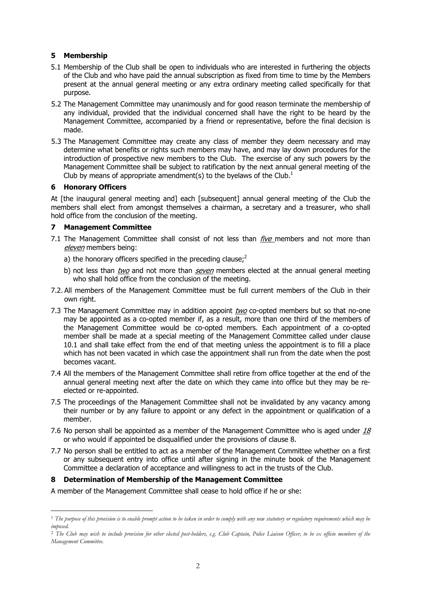# **5 Membership**

- 5.1 Membership of the Club shall be open to individuals who are interested in furthering the objects of the Club and who have paid the annual subscription as fixed from time to time by the Members present at the annual general meeting or any extra ordinary meeting called specifically for that purpose.
- 5.2 The Management Committee may unanimously and for good reason terminate the membership of any individual, provided that the individual concerned shall have the right to be heard by the Management Committee, accompanied by a friend or representative, before the final decision is made.
- 5.3 The Management Committee may create any class of member they deem necessary and may determine what benefits or rights such members may have, and may lay down procedures for the introduction of prospective new members to the Club. The exercise of any such powers by the Management Committee shall be subject to ratification by the next annual general meeting of the Club by means of appropriate amendment(s) to the byelaws of the Club.<sup>1</sup>

# **6 Honorary Officers**

 $\overline{a}$ 

At [the inaugural general meeting and] each [subsequent] annual general meeting of the Club the members shall elect from amongst themselves a chairman, a secretary and a treasurer, who shall hold office from the conclusion of the meeting.

# **7 Management Committee**

- 7.1 The Management Committee shall consist of not less than  $\hat{r}$ ive members and not more than eleven members being:
	- a) the honorary officers specified in the preceding clause; $<sup>2</sup>$ </sup>
	- b) not less than two and not more than  $\textit{seven}$  members elected at the annual general meeting who shall hold office from the conclusion of the meeting.
- 7.2. All members of the Management Committee must be full current members of the Club in their own right.
- 7.3 The Management Committee may in addition appoint two co-opted members but so that no-one may be appointed as a co-opted member if, as a result, more than one third of the members of the Management Committee would be co-opted members. Each appointment of a co-opted member shall be made at a special meeting of the Management Committee called under clause 10.1 and shall take effect from the end of that meeting unless the appointment is to fill a place which has not been vacated in which case the appointment shall run from the date when the post becomes vacant.
- 7.4 All the members of the Management Committee shall retire from office together at the end of the annual general meeting next after the date on which they came into office but they may be reelected or re-appointed.
- 7.5 The proceedings of the Management Committee shall not be invalidated by any vacancy among their number or by any failure to appoint or any defect in the appointment or qualification of a member.
- 7.6 No person shall be appointed as a member of the Management Committee who is aged under  $18$ or who would if appointed be disqualified under the provisions of clause 8.
- 7.7 No person shall be entitled to act as a member of the Management Committee whether on a first or any subsequent entry into office until after signing in the minute book of the Management Committee a declaration of acceptance and willingness to act in the trusts of the Club.

### **8 Determination of Membership of the Management Committee**

A member of the Management Committee shall cease to hold office if he or she:

<sup>&</sup>lt;sup>1</sup> The purpose of this provision is to enable prompt action to be taken in order to comply with any new statutory or regulatory requirements which may be *imposed.* 

<sup>&</sup>lt;sup>2</sup> The Club may wish to include provision for other elected post-holders, e.g. Club Captain, Police Liaison Officer, to be ex officio members of the *Management Committee.*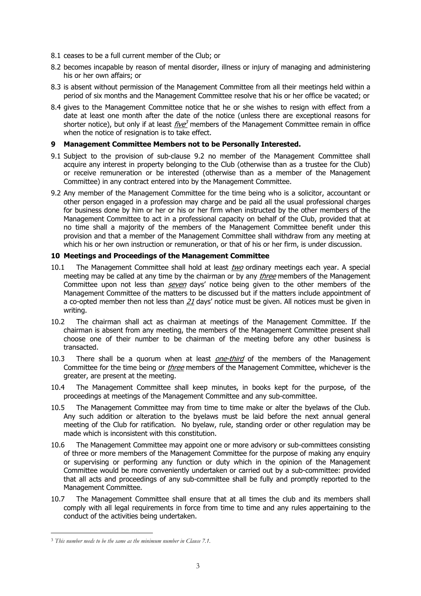- 8.1 ceases to be a full current member of the Club; or
- 8.2 becomes incapable by reason of mental disorder, illness or injury of managing and administering his or her own affairs; or
- 8.3 is absent without permission of the Management Committee from all their meetings held within a period of six months and the Management Committee resolve that his or her office be vacated; or
- 8.4 gives to the Management Committee notice that he or she wishes to resign with effect from a date at least one month after the date of the notice (unless there are exceptional reasons for shorter notice), but only if at least  $five^3$  members of the Management Committee remain in office when the notice of resignation is to take effect.

### **9 Management Committee Members not to be Personally Interested.**

- 9.1 Subject to the provision of sub-clause 9.2 no member of the Management Committee shall acquire any interest in property belonging to the Club (otherwise than as a trustee for the Club) or receive remuneration or be interested (otherwise than as a member of the Management Committee) in any contract entered into by the Management Committee.
- 9.2 Any member of the Management Committee for the time being who is a solicitor, accountant or other person engaged in a profession may charge and be paid all the usual professional charges for business done by him or her or his or her firm when instructed by the other members of the Management Committee to act in a professional capacity on behalf of the Club, provided that at no time shall a majority of the members of the Management Committee benefit under this provision and that a member of the Management Committee shall withdraw from any meeting at which his or her own instruction or remuneration, or that of his or her firm, is under discussion.

### **10 Meetings and Proceedings of the Management Committee**

- 10.1 The Management Committee shall hold at least two ordinary meetings each year. A special meeting may be called at any time by the chairman or by any *three* members of the Management Committee upon not less than *seven* days' notice being given to the other members of the Management Committee of the matters to be discussed but if the matters include appointment of a co-opted member then not less than 21 days' notice must be given. All notices must be given in writing.
- 10.2 The chairman shall act as chairman at meetings of the Management Committee. If the chairman is absent from any meeting, the members of the Management Committee present shall choose one of their number to be chairman of the meeting before any other business is transacted.
- 10.3 There shall be a quorum when at least *one-third* of the members of the Management Committee for the time being or *three* members of the Management Committee, whichever is the greater, are present at the meeting.
- 10.4 The Management Committee shall keep minutes, in books kept for the purpose, of the proceedings at meetings of the Management Committee and any sub-committee.
- 10.5 The Management Committee may from time to time make or alter the byelaws of the Club. Any such addition or alteration to the byelaws must be laid before the next annual general meeting of the Club for ratification. No byelaw, rule, standing order or other regulation may be made which is inconsistent with this constitution.
- 10.6 The Management Committee may appoint one or more advisory or sub-committees consisting of three or more members of the Management Committee for the purpose of making any enquiry or supervising or performing any function or duty which in the opinion of the Management Committee would be more conveniently undertaken or carried out by a sub-committee: provided that all acts and proceedings of any sub-committee shall be fully and promptly reported to the Management Committee.
- 10.7 The Management Committee shall ensure that at all times the club and its members shall comply with all legal requirements in force from time to time and any rules appertaining to the conduct of the activities being undertaken.

 $\overline{a}$ 

<sup>3</sup> *This number needs to be the same as the minimum number in Clause 7.1.*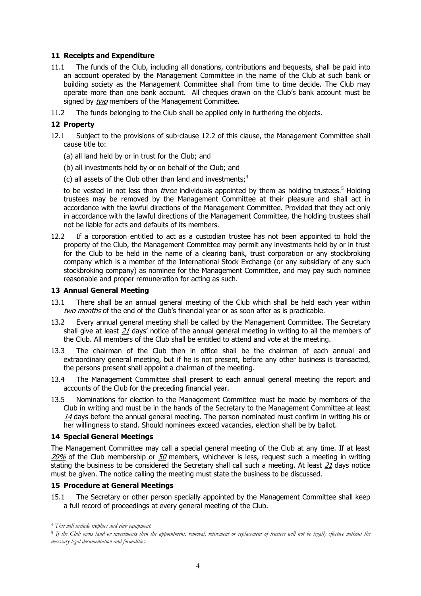# **11 Receipts and Expenditure**

- 11.1 The funds of the Club, including all donations, contributions and bequests, shall be paid into an account operated by the Management Committee in the name of the Club at such bank or building society as the Management Committee shall from time to time decide. The Club may operate more than one bank account. All cheques drawn on the Club's bank account must be signed by two members of the Management Committee.
- 11.2 The funds belonging to the Club shall be applied only in furthering the objects.

# **12 Property**

- 12.1 Subject to the provisions of sub-clause 12.2 of this clause, the Management Committee shall cause title to:
	- (a) all land held by or in trust for the Club; and
	- (b) all investments held by or on behalf of the Club; and
	- (c) all assets of the Club other than land and investments: $4$

to be vested in not less than *three* individuals appointed by them as holding trustees.<sup>5</sup> Holding trustees may be removed by the Management Committee at their pleasure and shall act in accordance with the lawful directions of the Management Committee. Provided that they act only in accordance with the lawful directions of the Management Committee, the holding trustees shall not be liable for acts and defaults of its members.

12.2 If a corporation entitled to act as a custodian trustee has not been appointed to hold the property of the Club, the Management Committee may permit any investments held by or in trust for the Club to be held in the name of a clearing bank, trust corporation or any stockbroking company which is a member of the International Stock Exchange (or any subsidiary of any such stockbroking company) as nominee for the Management Committee, and may pay such nominee reasonable and proper remuneration for acting as such.

### **13 Annual General Meeting**

- 13.1 There shall be an annual general meeting of the Club which shall be held each year within two months of the end of the Club's financial year or as soon after as is practicable.
- 13.2 Every annual general meeting shall be called by the Management Committee. The Secretary shall give at least  $21$  days' notice of the annual general meeting in writing to all the members of the Club. All members of the Club shall be entitled to attend and vote at the meeting.
- 13.3 The chairman of the Club then in office shall be the chairman of each annual and extraordinary general meeting, but if he is not present, before any other business is transacted, the persons present shall appoint a chairman of the meeting.
- 13.4 The Management Committee shall present to each annual general meeting the report and accounts of the Club for the preceding financial year.
- 13.5 Nominations for election to the Management Committee must be made by members of the Club in writing and must be in the hands of the Secretary to the Management Committee at least  $14$  days before the annual general meeting. The person nominated must confirm in writing his or her willingness to stand. Should nominees exceed vacancies, election shall be by ballot.

# **14 Special General Meetings**

The Management Committee may call a special general meeting of the Club at any time. If at least 20% of the Club membership or  $50$  members, whichever is less, request such a meeting in writing stating the business to be considered the Secretary shall call such a meeting. At least  $21$  days notice must be given. The notice calling the meeting must state the business to be discussed.

# **15 Procedure at General Meetings**

15.1 The Secretary or other person specially appointed by the Management Committee shall keep a full record of proceedings at every general meeting of the Club.

 $\overline{a}$ 

<sup>4</sup> *This will include trophies and club equipment.* 

<sup>5</sup> *If the Club owns land or investments then the appointment, removal, retirement or replacement of trustees will not be legally effective without the necessary legal documentation and formalities.*